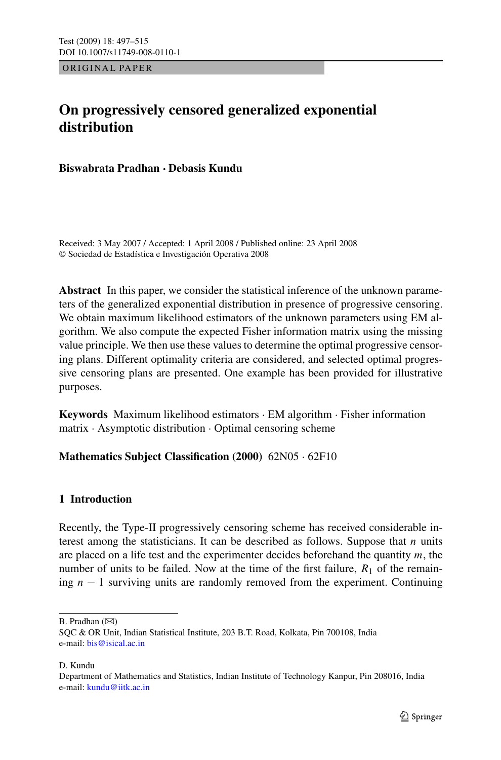ORIGINAL PAPER

# **On progressively censored generalized exponential distribution**

**Biswabrata Pradhan · Debasis Kundu**

Received: 3 May 2007 / Accepted: 1 April 2008 / Published online: 23 April 2008 © Sociedad de Estadística e Investigación Operativa 2008

**Abstract** In this paper, we consider the statistical inference of the unknown parameters of the generalized exponential distribution in presence of progressive censoring. We obtain maximum likelihood estimators of the unknown parameters using EM algorithm. We also compute the expected Fisher information matrix using the missing value principle. We then use these values to determine the optimal progressive censoring plans. Different optimality criteria are considered, and selected optimal progressive censoring plans are presented. One example has been provided for illustrative purposes.

**Keywords** Maximum likelihood estimators · EM algorithm · Fisher information matrix · Asymptotic distribution · Optimal censoring scheme

# **Mathematics Subject Classification (2000)** 62N05 · 62F10

### **1 Introduction**

Recently, the Type-II progressively censoring scheme has received considerable interest among the statisticians. It can be described as follows. Suppose that *n* units are placed on a life test and the experimenter decides beforehand the quantity *m*, the number of units to be failed. Now at the time of the first failure,  $R_1$  of the remaining *n* − 1 surviving units are randomly removed from the experiment. Continuing

 $B.$  Pradhan  $(\boxtimes)$ 

D. Kundu

SQC & OR Unit, Indian Statistical Institute, 203 B.T. Road, Kolkata, Pin 700108, India e-mail: [bis@isical.ac.in](mailto:bis@isical.ac.in)

Department of Mathematics and Statistics, Indian Institute of Technology Kanpur, Pin 208016, India e-mail: [kundu@iitk.ac.in](mailto:kundu@iitk.ac.in)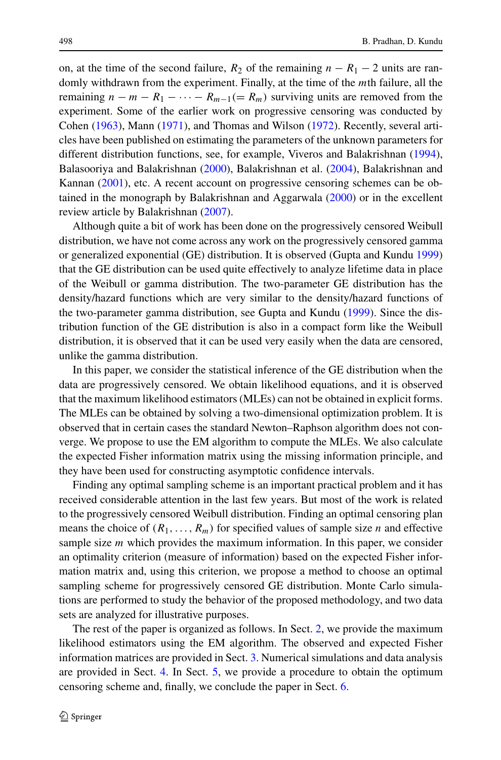on, at the time of the second failure,  $R_2$  of the remaining  $n - R_1 - 2$  units are randomly withdrawn from the experiment. Finally, at the time of the *m*th failure, all the remaining  $n - m - R_1 - \cdots - R_{m-1} (= R_m)$  surviving units are removed from the experiment. Some of the earlier work on progressive censoring was conducted by Cohen ([1963\)](#page-17-0), Mann [\(1971](#page-17-0)), and Thomas and Wilson [\(1972](#page-18-0)). Recently, several articles have been published on estimating the parameters of the unknown parameters for different distribution functions, see, for example, Viveros and Balakrishnan ([1994\)](#page-18-0), Balasooriya and Balakrishnan ([2000\)](#page-17-0), Balakrishnan et al. ([2004\)](#page-17-0), Balakrishnan and Kannan [\(2001\)](#page-17-0), etc. A recent account on progressive censoring schemes can be obtained in the monograph by Balakrishnan and Aggarwala [\(2000](#page-17-0)) or in the excellent review article by Balakrishnan [\(2007](#page-17-0)).

Although quite a bit of work has been done on the progressively censored Weibull distribution, we have not come across any work on the progressively censored gamma or generalized exponential (GE) distribution. It is observed (Gupta and Kundu [1999](#page-17-0)) that the GE distribution can be used quite effectively to analyze lifetime data in place of the Weibull or gamma distribution. The two-parameter GE distribution has the density/hazard functions which are very similar to the density/hazard functions of the two-parameter gamma distribution, see Gupta and Kundu ([1999\)](#page-17-0). Since the distribution function of the GE distribution is also in a compact form like the Weibull distribution, it is observed that it can be used very easily when the data are censored, unlike the gamma distribution.

In this paper, we consider the statistical inference of the GE distribution when the data are progressively censored. We obtain likelihood equations, and it is observed that the maximum likelihood estimators (MLEs) can not be obtained in explicit forms. The MLEs can be obtained by solving a two-dimensional optimization problem. It is observed that in certain cases the standard Newton–Raphson algorithm does not converge. We propose to use the EM algorithm to compute the MLEs. We also calculate the expected Fisher information matrix using the missing information principle, and they have been used for constructing asymptotic confidence intervals.

Finding any optimal sampling scheme is an important practical problem and it has received considerable attention in the last few years. But most of the work is related to the progressively censored Weibull distribution. Finding an optimal censoring plan means the choice of  $(R_1, \ldots, R_m)$  for specified values of sample size *n* and effective sample size *m* which provides the maximum information. In this paper, we consider an optimality criterion (measure of information) based on the expected Fisher information matrix and, using this criterion, we propose a method to choose an optimal sampling scheme for progressively censored GE distribution. Monte Carlo simulations are performed to study the behavior of the proposed methodology, and two data sets are analyzed for illustrative purposes.

The rest of the paper is organized as follows. In Sect. [2,](#page-2-0) we provide the maximum likelihood estimators using the EM algorithm. The observed and expected Fisher information matrices are provided in Sect. [3.](#page-4-0) Numerical simulations and data analysis are provided in Sect. [4](#page-8-0). In Sect. [5](#page-12-0), we provide a procedure to obtain the optimum censoring scheme and, finally, we conclude the paper in Sect. [6.](#page-16-0)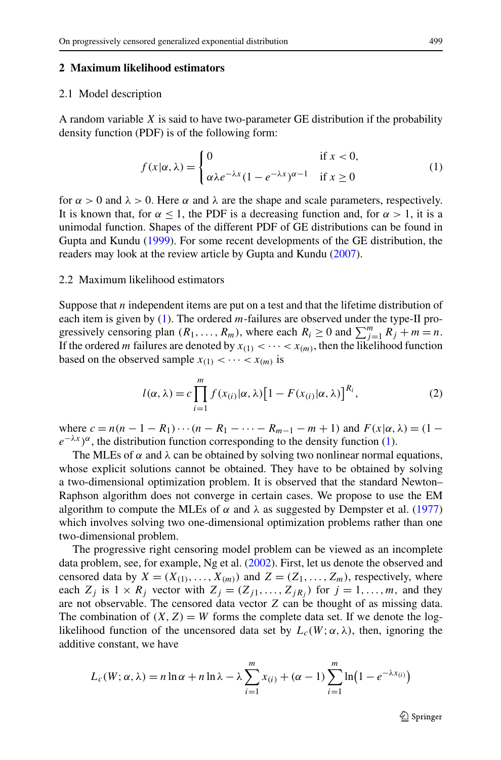#### <span id="page-2-0"></span>**2 Maximum likelihood estimators**

#### 2.1 Model description

A random variable *X* is said to have two-parameter GE distribution if the probability density function (PDF) is of the following form:

$$
f(x|\alpha,\lambda) = \begin{cases} 0 & \text{if } x < 0, \\ \alpha\lambda e^{-\lambda x} (1 - e^{-\lambda x})^{\alpha - 1} & \text{if } x \ge 0 \end{cases}
$$
 (1)

for  $\alpha > 0$  and  $\lambda > 0$ . Here  $\alpha$  and  $\lambda$  are the shape and scale parameters, respectively. It is known that, for  $\alpha \leq 1$ , the PDF is a decreasing function and, for  $\alpha > 1$ , it is a unimodal function. Shapes of the different PDF of GE distributions can be found in Gupta and Kundu [\(1999](#page-17-0)). For some recent developments of the GE distribution, the readers may look at the review article by Gupta and Kundu ([2007\)](#page-17-0).

#### 2.2 Maximum likelihood estimators

Suppose that *n* independent items are put on a test and that the lifetime distribution of each item is given by (1). The ordered *m*-failures are observed under the type-II progressively censoring plan  $(R_1, \ldots, R_m)$ , where each  $R_i \ge 0$  and  $\sum_{j=1}^m R_j + m = n$ . If the ordered *m* failures are denoted by  $x_{(1)} < \cdots < x_{(m)}$ , then the likelihood function based on the observed sample  $x_{(1)} < \cdots < x_{(m)}$  is

$$
l(\alpha, \lambda) = c \prod_{i=1}^{m} f(x_{(i)} | \alpha, \lambda) [1 - F(x_{(i)} | \alpha, \lambda)]^{R_i},
$$
\n(2)

where  $c = n(n - 1 - R_1) \cdots (n - R_1 - \cdots - R_{m-1} - m + 1)$  and  $F(x | \alpha, \lambda) = (1$  $e^{-\lambda x}$ <sup> $\alpha$ </sup>, the distribution function corresponding to the density function (1).

The MLEs of  $\alpha$  and  $\lambda$  can be obtained by solving two nonlinear normal equations, whose explicit solutions cannot be obtained. They have to be obtained by solving a two-dimensional optimization problem. It is observed that the standard Newton– Raphson algorithm does not converge in certain cases. We propose to use the EM algorithm to compute the MLEs of  $\alpha$  and  $\lambda$  as suggested by Dempster et al. [\(1977](#page-17-0)) which involves solving two one-dimensional optimization problems rather than one two-dimensional problem.

The progressive right censoring model problem can be viewed as an incomplete data problem, see, for example, Ng et al. [\(2002\)](#page-17-0). First, let us denote the observed and censored data by  $X = (X_{(1)}, \ldots, X_{(m)})$  and  $Z = (Z_1, \ldots, Z_m)$ , respectively, where each  $Z_j$  is  $1 \times R_j$  vector with  $Z_j = (Z_{j1},...,Z_{jR_j})$  for  $j = 1,...,m$ , and they are not observable. The censored data vector *Z* can be thought of as missing data. The combination of  $(X, Z) = W$  forms the complete data set. If we denote the loglikelihood function of the uncensored data set by  $L_c(W; \alpha, \lambda)$ , then, ignoring the additive constant, we have

$$
L_c(W; \alpha, \lambda) = n \ln \alpha + n \ln \lambda - \lambda \sum_{i=1}^m x_{(i)} + (\alpha - 1) \sum_{i=1}^m \ln \left( 1 - e^{-\lambda x_{(i)}} \right)
$$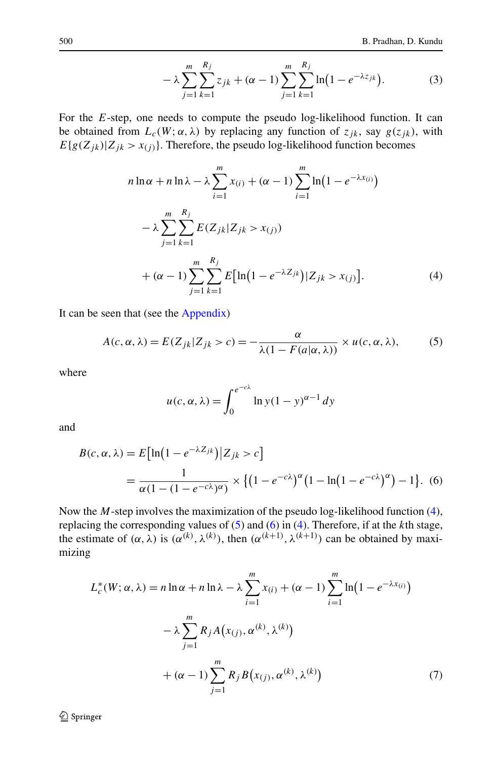$$
-\lambda \sum_{j=1}^{m} \sum_{k=1}^{R_j} z_{jk} + (\alpha - 1) \sum_{j=1}^{m} \sum_{k=1}^{R_j} \ln(1 - e^{-\lambda z_{jk}}).
$$
 (3)

<span id="page-3-0"></span>For the *E*-step, one needs to compute the pseudo log-likelihood function. It can be obtained from  $L_c(W; \alpha, \lambda)$  by replacing any function of  $z_{jk}$ , say  $g(z_{jk})$ , with  $E{g(Z_{jk})|Z_{jk} > x_{(j)}}$ . Therefore, the pseudo log-likelihood function becomes

$$
n \ln \alpha + n \ln \lambda - \lambda \sum_{i=1}^{m} x_{(i)} + (\alpha - 1) \sum_{i=1}^{m} \ln (1 - e^{-\lambda x_{(i)}})
$$
  

$$
- \lambda \sum_{j=1}^{m} \sum_{k=1}^{R_j} E(Z_{jk} | Z_{jk} > x_{(j)})
$$
  

$$
+ (\alpha - 1) \sum_{j=1}^{m} \sum_{k=1}^{R_j} E[\ln (1 - e^{-\lambda Z_{jk}}) | Z_{jk} > x_{(j)}].
$$
 (4)

It can be seen that (see the [Appendix\)](#page-16-0)

$$
A(c, \alpha, \lambda) = E(Z_{jk} | Z_{jk} > c) = -\frac{\alpha}{\lambda (1 - F(a|\alpha, \lambda))} \times u(c, \alpha, \lambda), \quad (5)
$$

where

$$
u(c, \alpha, \lambda) = \int_0^{e^{-c\lambda}} \ln y (1 - y)^{\alpha - 1} dy
$$

and

$$
B(c, \alpha, \lambda) = E\left[\ln\left(1 - e^{-\lambda Z_{jk}}\right)|Z_{jk} > c\right]
$$
\n
$$
= \frac{1}{\alpha(1 - (1 - e^{-c\lambda})^{\alpha})} \times \left\{\left(1 - e^{-c\lambda}\right)^{\alpha}\left(1 - \ln\left(1 - e^{-c\lambda}\right)^{\alpha}\right) - 1\right\}.\tag{6}
$$

Now the *M*-step involves the maximization of the pseudo log-likelihood function (4), replacing the corresponding values of (5) and (6) in (4). Therefore, if at the *k*th stage, the estimate of  $(\alpha, \lambda)$  is  $(\alpha^{(k)}, \lambda^{(k)})$ , then  $(\alpha^{(k+1)}, \lambda^{(k+1)})$  can be obtained by maximizing

$$
L_c^*(W; \alpha, \lambda) = n \ln \alpha + n \ln \lambda - \lambda \sum_{i=1}^m x_{(i)} + (\alpha - 1) \sum_{i=1}^m \ln(1 - e^{-\lambda x_{(i)}})
$$

$$
- \lambda \sum_{j=1}^m R_j A(x_{(j)}, \alpha^{(k)}, \lambda^{(k)})
$$

$$
+ (\alpha - 1) \sum_{j=1}^m R_j B(x_{(j)}, \alpha^{(k)}, \lambda^{(k)})
$$
(7)

 $\mathcal{D}$  Springer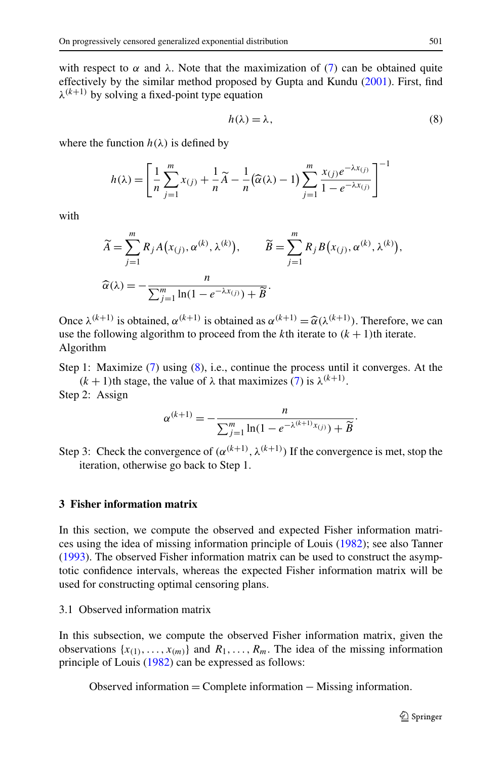<span id="page-4-0"></span>with respect to  $\alpha$  and  $\lambda$ . Note that the maximization of ([7\)](#page-3-0) can be obtained quite effectively by the similar method proposed by Gupta and Kundu [\(2001](#page-17-0)). First, find  $\lambda^{(k+1)}$  by solving a fixed-point type equation

$$
h(\lambda) = \lambda,\tag{8}
$$

where the function  $h(\lambda)$  is defined by

$$
h(\lambda) = \left[ \frac{1}{n} \sum_{j=1}^{m} x_{(j)} + \frac{1}{n} \widetilde{A} - \frac{1}{n} (\widehat{\alpha}(\lambda) - 1) \sum_{j=1}^{m} \frac{x_{(j)} e^{-\lambda x_{(j)}}}{1 - e^{-\lambda x_{(j)}}} \right]^{-1}
$$

with

$$
\widetilde{A} = \sum_{j=1}^{m} R_j A(x_{(j)}, \alpha^{(k)}, \lambda^{(k)}), \qquad \widetilde{B} = \sum_{j=1}^{m} R_j B(x_{(j)}, \alpha^{(k)}, \lambda^{(k)}),
$$

$$
\widehat{\alpha}(\lambda) = -\frac{n}{\sum_{j=1}^{m} \ln(1 - e^{-\lambda x_{(j)}}) + \widetilde{B}}.
$$

Once  $\lambda^{(k+1)}$  is obtained,  $\alpha^{(k+1)}$  is obtained as  $\alpha^{(k+1)} = \hat{\alpha}(\lambda^{(k+1)})$ . Therefore, we can use the following algorithm to proceed from the *k*th iterate to  $(k+1)$ th iterate. use the following algorithm to proceed from the *k*th iterate to  $(k + 1)$ th iterate. Algorithm

Step 1: Maximize ([7\)](#page-3-0) using (8), i.e., continue the process until it converges. At the *(k + 1)*<sup>th</sup> stage, the value of  $λ$  that maximizes [\(7](#page-3-0)) is  $λ^{(k+1)}$ .

Step 2: Assign

$$
\alpha^{(k+1)} = -\frac{n}{\sum_{j=1}^{m} \ln(1 - e^{-\lambda^{(k+1)}x_{(j)}}) + \widetilde{B}}
$$

Step 3: Check the convergence of  $(\alpha^{(k+1)}, \lambda^{(k+1)})$  If the convergence is met, stop the iteration, otherwise go back to Step 1.

#### **3 Fisher information matrix**

In this section, we compute the observed and expected Fisher information matrices using the idea of missing information principle of Louis [\(1982](#page-17-0)); see also Tanner [\(1993](#page-18-0)). The observed Fisher information matrix can be used to construct the asymptotic confidence intervals, whereas the expected Fisher information matrix will be used for constructing optimal censoring plans.

3.1 Observed information matrix

In this subsection, we compute the observed Fisher information matrix, given the observations  $\{x_{(1)},...,x_{(m)}\}$  and  $R_1,...,R_m$ . The idea of the missing information principle of Louis [\(1982\)](#page-17-0) can be expressed as follows:

Observed information = Complete information − Missing information*.*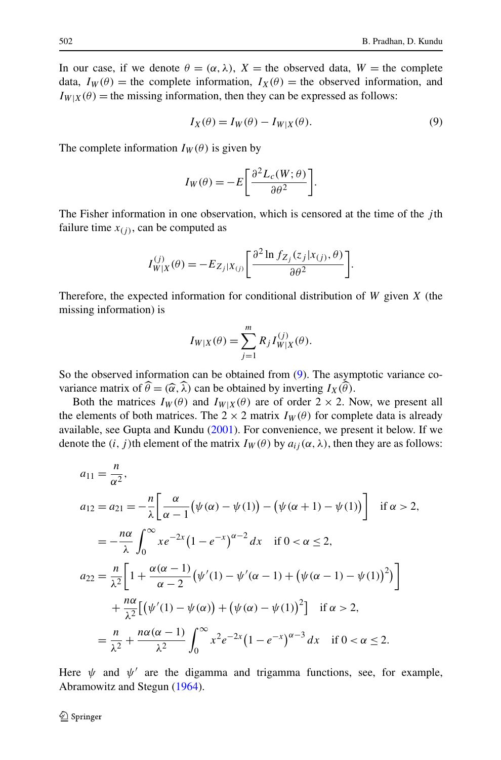In our case, if we denote  $\theta = (\alpha, \lambda)$ ,  $X =$  the observed data,  $W =$  the complete data,  $I_W(\theta)$  = the complete information,  $I_X(\theta)$  = the observed information, and  $I_{W|X}(\theta)$  = the missing information, then they can be expressed as follows:

$$
I_X(\theta) = I_W(\theta) - I_{W|X}(\theta).
$$
\n(9)

The complete information  $I_W(\theta)$  is given by

$$
I_W(\theta) = -E \bigg[ \frac{\partial^2 L_c(W; \theta)}{\partial \theta^2} \bigg].
$$

The Fisher information in one observation, which is censored at the time of the *j* th failure time  $x_{(i)}$ , can be computed as

$$
I_{W|X}^{(j)}(\theta) = -E_{Z_j|X_{(j)}} \left[ \frac{\partial^2 \ln f_{Z_j}(z_j|x_{(j)}, \theta)}{\partial \theta^2} \right].
$$

Therefore, the expected information for conditional distribution of *W* given *X* (the missing information) is

$$
I_{W|X}(\theta) = \sum_{j=1}^{m} R_j I_{W|X}^{(j)}(\theta).
$$

So the observed information can be obtained from (9). The asymptotic variance covariance matrix of  $\widehat{\theta} = (\widehat{\alpha}, \widehat{\lambda})$  can be obtained by inverting  $I_X(\widehat{\theta})$ .

Both the matrices  $I_W(\theta)$  and  $I_{W|X}(\theta)$  are of order  $2 \times 2$ . Now, we present all the elements of both matrices. The  $2 \times 2$  matrix  $I_W(\theta)$  for complete data is already available, see Gupta and Kundu [\(2001](#page-17-0)). For convenience, we present it below. If we denote the  $(i, j)$ th element of the matrix  $I_W(\theta)$  by  $a_{ij}(\alpha, \lambda)$ , then they are as follows:

$$
a_{11} = \frac{n}{\alpha^2},
$$
  
\n
$$
a_{12} = a_{21} = -\frac{n}{\lambda} \left[ \frac{\alpha}{\alpha - 1} (\psi(\alpha) - \psi(1)) - (\psi(\alpha + 1) - \psi(1)) \right] \text{ if } \alpha > 2,
$$
  
\n
$$
= -\frac{n\alpha}{\lambda} \int_0^\infty x e^{-2x} (1 - e^{-x})^{\alpha - 2} dx \text{ if } 0 < \alpha \le 2,
$$
  
\n
$$
a_{22} = \frac{n}{\lambda^2} \left[ 1 + \frac{\alpha(\alpha - 1)}{\alpha - 2} (\psi'(1) - \psi'(\alpha - 1) + (\psi(\alpha - 1) - \psi(1))^2) \right]
$$
  
\n
$$
+ \frac{n\alpha}{\lambda^2} [(\psi'(1) - \psi(\alpha)) + (\psi(\alpha) - \psi(1))^2] \text{ if } \alpha > 2,
$$
  
\n
$$
= \frac{n}{\lambda^2} + \frac{n\alpha(\alpha - 1)}{\lambda^2} \int_0^\infty x^2 e^{-2x} (1 - e^{-x})^{\alpha - 3} dx \text{ if } 0 < \alpha \le 2.
$$

Here  $\psi$  and  $\psi'$  are the digamma and trigamma functions, see, for example, Abramowitz and Stegun [\(1964\)](#page-17-0).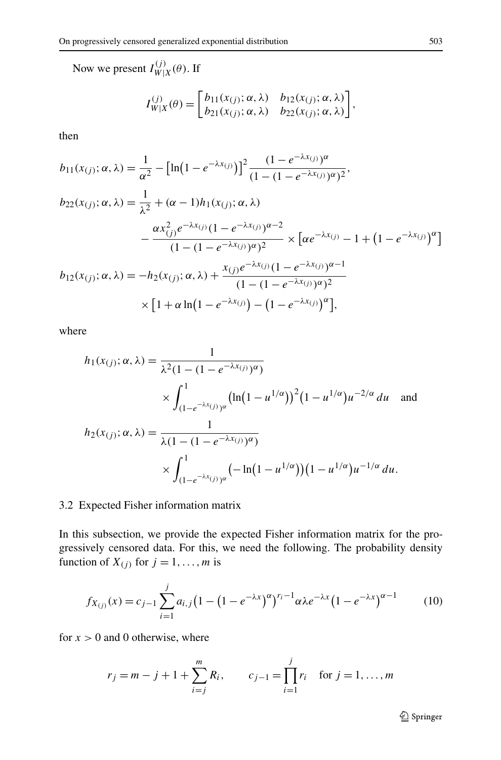<span id="page-6-0"></span>Now we present  $I_{W|X}^{(j)}(\theta)$ . If

$$
I_{W|X}^{(j)}(\theta) = \begin{bmatrix} b_{11}(x_{(j)}; \alpha, \lambda) & b_{12}(x_{(j)}; \alpha, \lambda) \\ b_{21}(x_{(j)}; \alpha, \lambda) & b_{22}(x_{(j)}; \alpha, \lambda) \end{bmatrix},
$$

then

$$
b_{11}(x_{(j)}; \alpha, \lambda) = \frac{1}{\alpha^2} - \left[\ln(1 - e^{-\lambda x_{(j)}})\right]^2 \frac{(1 - e^{-\lambda x_{(j)}})^{\alpha}}{(1 - (1 - e^{-\lambda x_{(j)}})^{\alpha})^2},
$$
  
\n
$$
b_{22}(x_{(j)}; \alpha, \lambda) = \frac{1}{\lambda^2} + (\alpha - 1)h_1(x_{(j)}; \alpha, \lambda)
$$
  
\n
$$
- \frac{\alpha x_{(j)}^2 e^{-\lambda x_{(j)}} (1 - e^{-\lambda x_{(j)}})^{\alpha - 2}}{(1 - (1 - e^{-\lambda x_{(j)}})^{\alpha})^2} \times \left[\alpha e^{-\lambda x_{(j)}} - 1 + (1 - e^{-\lambda x_{(j)}})^{\alpha}\right]
$$
  
\n
$$
b_{12}(x_{(j)}; \alpha, \lambda) = -h_2(x_{(j)}; \alpha, \lambda) + \frac{x_{(j)}e^{-\lambda x_{(j)}} (1 - e^{-\lambda x_{(j)}})^{\alpha - 1}}{(1 - (1 - e^{-\lambda x_{(j)}})^{\alpha})^2}
$$
  
\n
$$
\times \left[1 + \alpha \ln(1 - e^{-\lambda x_{(j)}}) - (1 - e^{-\lambda x_{(j)}})^{\alpha}\right],
$$

where

$$
h_1(x_{(j)}; \alpha, \lambda) = \frac{1}{\lambda^2 (1 - (1 - e^{-\lambda x_{(j)}})^{\alpha})}
$$
  
 
$$
\times \int_{(1 - e^{-\lambda x_{(j)}})^{\alpha}}^1 (\ln(1 - u^{1/\alpha}))^2 (1 - u^{1/\alpha}) u^{-2/\alpha} du \text{ and}
$$
  

$$
h_2(x_{(j)}; \alpha, \lambda) = \frac{1}{\lambda (1 - (1 - e^{-\lambda x_{(j)}})^{\alpha})}
$$
  

$$
\times \int_{(1 - e^{-\lambda x_{(j)}})^{\alpha}}^1 (-\ln(1 - u^{1/\alpha}))(1 - u^{1/\alpha}) u^{-1/\alpha} du.
$$

# 3.2 Expected Fisher information matrix

In this subsection, we provide the expected Fisher information matrix for the progressively censored data. For this, we need the following. The probability density function of  $X_{(j)}$  for  $j = 1, \ldots, m$  is

$$
f_{X_{(j)}}(x) = c_{j-1} \sum_{i=1}^{j} a_{i,j} \left( 1 - \left( 1 - e^{-\lambda x} \right)^{\alpha} \right)^{r_i - 1} \alpha \lambda e^{-\lambda x} \left( 1 - e^{-\lambda x} \right)^{\alpha - 1}
$$
(10)

for  $x > 0$  and 0 otherwise, where

$$
r_j = m - j + 1 + \sum_{i=j}^{m} R_i
$$
,  $c_{j-1} = \prod_{i=1}^{j} r_i$  for  $j = 1, ..., m$ 

2 Springer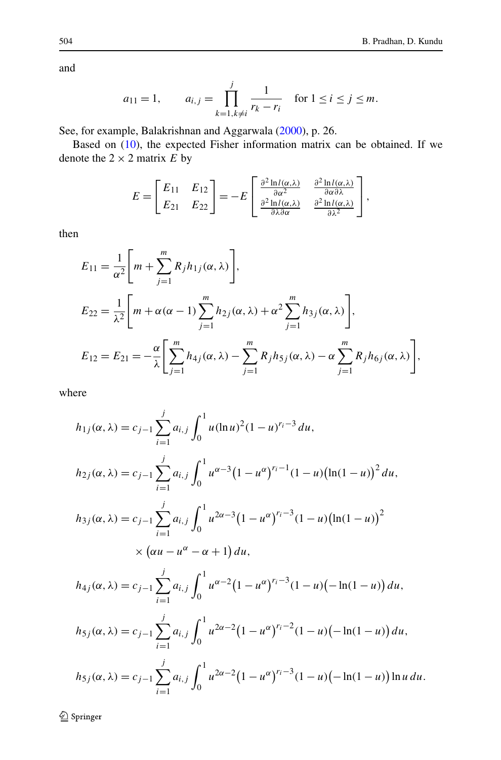and

$$
a_{11} = 1
$$
,  $a_{i,j} = \prod_{k=1, k \neq i}^{j} \frac{1}{r_k - r_i}$  for  $1 \leq i \leq j \leq m$ .

See, for example, Balakrishnan and Aggarwala [\(2000](#page-17-0)), p. 26.

Based on [\(10](#page-6-0)), the expected Fisher information matrix can be obtained. If we denote the  $2 \times 2$  matrix  $\overrightarrow{E}$  by

$$
E = \begin{bmatrix} E_{11} & E_{12} \\ E_{21} & E_{22} \end{bmatrix} = -E \begin{bmatrix} \frac{\partial^2 \ln l(\alpha, \lambda)}{\partial \alpha^2} & \frac{\partial^2 \ln l(\alpha, \lambda)}{\partial \alpha \partial \lambda} \\ \frac{\partial^2 \ln l(\alpha, \lambda)}{\partial \lambda \partial \alpha} & \frac{\partial^2 \ln l(\alpha, \lambda)}{\partial \lambda^2} \end{bmatrix},
$$

then

$$
E_{11} = \frac{1}{\alpha^2} \Bigg[ m + \sum_{j=1}^m R_j h_{1j}(\alpha, \lambda) \Bigg],
$$
  
\n
$$
E_{22} = \frac{1}{\lambda^2} \Bigg[ m + \alpha(\alpha - 1) \sum_{j=1}^m h_{2j}(\alpha, \lambda) + \alpha^2 \sum_{j=1}^m h_{3j}(\alpha, \lambda) \Bigg],
$$
  
\n
$$
E_{12} = E_{21} = -\frac{\alpha}{\lambda} \Bigg[ \sum_{j=1}^m h_{4j}(\alpha, \lambda) - \sum_{j=1}^m R_j h_{5j}(\alpha, \lambda) - \alpha \sum_{j=1}^m R_j h_{6j}(\alpha, \lambda) \Bigg],
$$

where

$$
h_{1j}(\alpha, \lambda) = c_{j-1} \sum_{i=1}^{j} a_{i,j} \int_{0}^{1} u(\ln u)^{2} (1-u)^{r_{i}-3} du,
$$
  
\n
$$
h_{2j}(\alpha, \lambda) = c_{j-1} \sum_{i=1}^{j} a_{i,j} \int_{0}^{1} u^{\alpha-3} (1-u^{\alpha})^{r_{i}-1} (1-u) (\ln(1-u))^{2} du,
$$
  
\n
$$
h_{3j}(\alpha, \lambda) = c_{j-1} \sum_{i=1}^{j} a_{i,j} \int_{0}^{1} u^{2\alpha-3} (1-u^{\alpha})^{r_{i}-3} (1-u) (\ln(1-u))^{2} \times (\alpha u - u^{\alpha} - \alpha + 1) du,
$$
  
\n
$$
h_{4j}(\alpha, \lambda) = c_{j-1} \sum_{i=1}^{j} a_{i,j} \int_{0}^{1} u^{\alpha-2} (1-u^{\alpha})^{r_{i}-3} (1-u) (-\ln(1-u)) du,
$$
  
\n
$$
h_{5j}(\alpha, \lambda) = c_{j-1} \sum_{i=1}^{j} a_{i,j} \int_{0}^{1} u^{2\alpha-2} (1-u^{\alpha})^{r_{i}-2} (1-u) (-\ln(1-u)) du,
$$
  
\n
$$
h_{5j}(\alpha, \lambda) = c_{j-1} \sum_{i=1}^{j} a_{i,j} \int_{0}^{1} u^{2\alpha-2} (1-u^{\alpha})^{r_{i}-3} (1-u) (-\ln(1-u)) du.
$$

 $\mathcal{D}$  Springer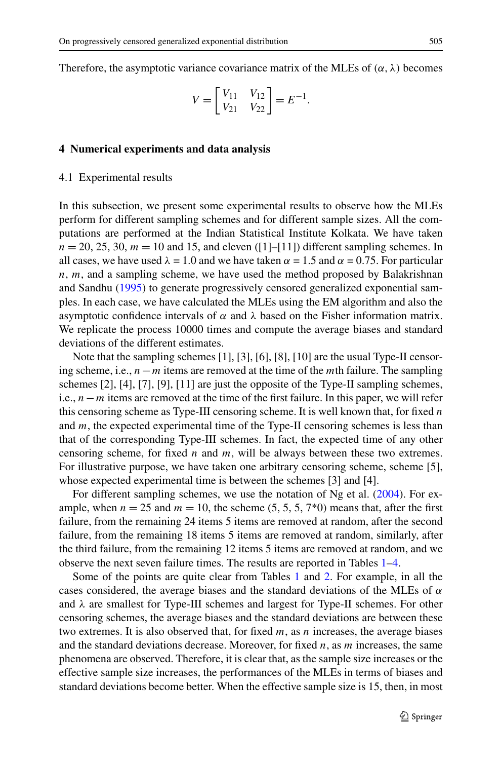<span id="page-8-0"></span>Therefore, the asymptotic variance covariance matrix of the MLEs of  $(\alpha, \lambda)$  becomes

$$
V = \begin{bmatrix} V_{11} & V_{12} \\ V_{21} & V_{22} \end{bmatrix} = E^{-1}.
$$

#### **4 Numerical experiments and data analysis**

#### 4.1 Experimental results

In this subsection, we present some experimental results to observe how the MLEs perform for different sampling schemes and for different sample sizes. All the computations are performed at the Indian Statistical Institute Kolkata. We have taken  $n = 20, 25, 30, m = 10$  and 15, and eleven  $(11-[11])$  different sampling schemes. In all cases, we have used  $\lambda = 1.0$  and we have taken  $\alpha = 1.5$  and  $\alpha = 0.75$ . For particular *n*, *m*, and a sampling scheme, we have used the method proposed by Balakrishnan and Sandhu ([1995\)](#page-17-0) to generate progressively censored generalized exponential samples. In each case, we have calculated the MLEs using the EM algorithm and also the asymptotic confidence intervals of *α* and *λ* based on the Fisher information matrix. We replicate the process 10000 times and compute the average biases and standard deviations of the different estimates.

Note that the sampling schemes [1], [3], [6], [8], [10] are the usual Type-II censoring scheme, i.e., *n*−*m* items are removed at the time of the *m*th failure. The sampling schemes [2], [4], [7], [9], [11] are just the opposite of the Type-II sampling schemes, i.e., *n*−*m* items are removed at the time of the first failure. In this paper, we will refer this censoring scheme as Type-III censoring scheme. It is well known that, for fixed *n* and *m*, the expected experimental time of the Type-II censoring schemes is less than that of the corresponding Type-III schemes. In fact, the expected time of any other censoring scheme, for fixed *n* and *m*, will be always between these two extremes. For illustrative purpose, we have taken one arbitrary censoring scheme, scheme [5], whose expected experimental time is between the schemes [3] and [4].

For different sampling schemes, we use the notation of Ng et al. ([2004](#page-17-0)). For example, when  $n = 25$  and  $m = 10$ , the scheme  $(5, 5, 5, 7*)$  means that, after the first failure, from the remaining 24 items 5 items are removed at random, after the second failure, from the remaining 18 items 5 items are removed at random, similarly, after the third failure, from the remaining 12 items 5 items are removed at random, and we observe the next seven failure times. The results are reported in Tables [1](#page-9-0)[–4](#page-10-0).

Some of the points are quite clear from Tables [1](#page-9-0) and [2](#page-9-0). For example, in all the cases considered, the average biases and the standard deviations of the MLEs of *α* and *λ* are smallest for Type-III schemes and largest for Type-II schemes. For other censoring schemes, the average biases and the standard deviations are between these two extremes. It is also observed that, for fixed *m*, as *n* increases, the average biases and the standard deviations decrease. Moreover, for fixed *n*, as *m* increases, the same phenomena are observed. Therefore, it is clear that, as the sample size increases or the effective sample size increases, the performances of the MLEs in terms of biases and standard deviations become better. When the effective sample size is 15, then, in most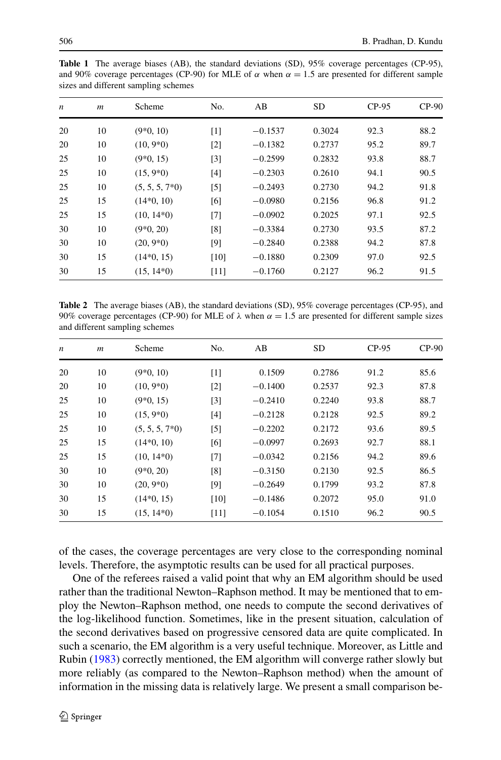<span id="page-9-0"></span>

|   |   | <b>Table 1</b> The average biases (AB), the standard deviations (SD), 95% coverage percentages (CP-95),         |     |    |           |         |         |
|---|---|-----------------------------------------------------------------------------------------------------------------|-----|----|-----------|---------|---------|
|   |   | and 90% coverage percentages (CP-90) for MLE of $\alpha$ when $\alpha = 1.5$ are presented for different sample |     |    |           |         |         |
|   |   | sizes and different sampling schemes                                                                            |     |    |           |         |         |
|   |   |                                                                                                                 |     |    |           |         |         |
| n | m | Scheme                                                                                                          | No. | AВ | <b>SD</b> | $CP-95$ | $CP-90$ |

| $\overline{\phantom{a}}$ | $\cdots$ | ovinin            | 11V.              | $\overline{1}$ | ັ      | <u>.</u> | $\sim$ . |
|--------------------------|----------|-------------------|-------------------|----------------|--------|----------|----------|
| 20                       | 10       | $(9*0, 10)$       | $\lceil 1 \rceil$ | $-0.1537$      | 0.3024 | 92.3     | 88.2     |
| 20                       | 10       | $(10, 9*0)$       | $\lceil 2 \rceil$ | $-0.1382$      | 0.2737 | 95.2     | 89.7     |
| 25                       | 10       | $(9*0, 15)$       | $\lceil 3 \rceil$ | $-0.2599$      | 0.2832 | 93.8     | 88.7     |
| 25                       | 10       | $(15, 9*0)$       | [4]               | $-0.2303$      | 0.2610 | 94.1     | 90.5     |
| 25                       | 10       | $(5, 5, 5, 7^*0)$ | $[5]$             | $-0.2493$      | 0.2730 | 94.2     | 91.8     |
| 25                       | 15       | $(14*0, 10)$      | [6]               | $-0.0980$      | 0.2156 | 96.8     | 91.2     |
| 25                       | 15       | $(10, 14*0)$      | [7]               | $-0.0902$      | 0.2025 | 97.1     | 92.5     |
| 30                       | 10       | $(9*0, 20)$       | [8]               | $-0.3384$      | 0.2730 | 93.5     | 87.2     |
| 30                       | 10       | $(20, 9*0)$       | [9]               | $-0.2840$      | 0.2388 | 94.2     | 87.8     |
| 30                       | 15       | $(14*0, 15)$      | [10]              | $-0.1880$      | 0.2309 | 97.0     | 92.5     |
| 30                       | 15       | $(15, 14*0)$      | [11]              | $-0.1760$      | 0.2127 | 96.2     | 91.5     |
|                          |          |                   |                   |                |        |          |          |

**Table 2** The average biases (AB), the standard deviations (SD), 95% coverage percentages (CP-95), and 90% coverage percentages (CP-90) for MLE of  $\lambda$  when  $\alpha = 1.5$  are presented for different sample sizes and different sampling schemes

| $CP-95$ | $CP-90$ |
|---------|---------|
| 91.2    | 85.6    |
| 92.3    | 87.8    |
| 93.8    | 88.7    |
| 92.5    | 89.2    |
| 93.6    | 89.5    |
| 92.7    | 88.1    |
| 94.2    | 89.6    |
| 92.5    | 86.5    |
| 93.2    | 87.8    |
| 95.0    | 91.0    |
| 96.2    | 90.5    |
|         |         |

of the cases, the coverage percentages are very close to the corresponding nominal levels. Therefore, the asymptotic results can be used for all practical purposes.

One of the referees raised a valid point that why an EM algorithm should be used rather than the traditional Newton–Raphson method. It may be mentioned that to employ the Newton–Raphson method, one needs to compute the second derivatives of the log-likelihood function. Sometimes, like in the present situation, calculation of the second derivatives based on progressive censored data are quite complicated. In such a scenario, the EM algorithm is a very useful technique. Moreover, as Little and Rubin ([1983\)](#page-17-0) correctly mentioned, the EM algorithm will converge rather slowly but more reliably (as compared to the Newton–Raphson method) when the amount of information in the missing data is relatively large. We present a small comparison be-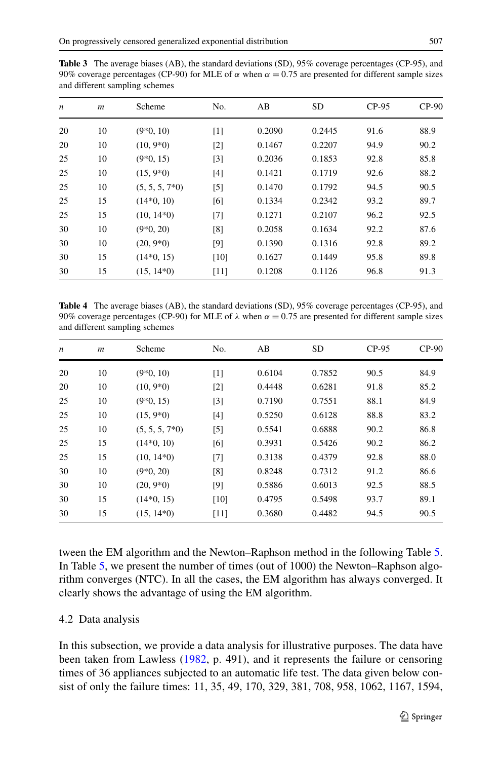<span id="page-10-0"></span>

| <b>Table 3</b> The average biases (AB), the standard deviations (SD), $95\%$ coverage percentages (CP-95), and     |  |  |
|--------------------------------------------------------------------------------------------------------------------|--|--|
| 90% coverage percentages (CP-90) for MLE of $\alpha$ when $\alpha = 0.75$ are presented for different sample sizes |  |  |
| and different sampling schemes                                                                                     |  |  |

| $\boldsymbol{n}$ | $\boldsymbol{m}$ | Scheme           | No.               | AB     | <b>SD</b> | $CP-95$ | $CP-90$ |
|------------------|------------------|------------------|-------------------|--------|-----------|---------|---------|
| 20               | 10               | $(9*0, 10)$      | [1]               | 0.2090 | 0.2445    | 91.6    | 88.9    |
| 20               | 10               | $(10, 9*0)$      | $\lceil 2 \rceil$ | 0.1467 | 0.2207    | 94.9    | 90.2    |
| 25               | 10               | $(9*0, 15)$      | $\lceil 3 \rceil$ | 0.2036 | 0.1853    | 92.8    | 85.8    |
| 25               | 10               | $(15, 9*0)$      | $[4]$             | 0.1421 | 0.1719    | 92.6    | 88.2    |
| 25               | 10               | $(5, 5, 5, 7*0)$ | $\lceil 5 \rceil$ | 0.1470 | 0.1792    | 94.5    | 90.5    |
| 25               | 15               | $(14*0, 10)$     | [6]               | 0.1334 | 0.2342    | 93.2    | 89.7    |
| 25               | 15               | $(10, 14*0)$     | [7]               | 0.1271 | 0.2107    | 96.2    | 92.5    |
| 30               | 10               | $(9*0, 20)$      | [8]               | 0.2058 | 0.1634    | 92.2    | 87.6    |
| 30               | 10               | $(20, 9*0)$      | [9]               | 0.1390 | 0.1316    | 92.8    | 89.2    |
| 30               | 15               | $(14*0, 15)$     | $[10]$            | 0.1627 | 0.1449    | 95.8    | 89.8    |
| 30               | 15               | $(15, 14*0)$     | $[11]$            | 0.1208 | 0.1126    | 96.8    | 91.3    |

**Table 4** The average biases (AB), the standard deviations (SD), 95% coverage percentages (CP-95), and 90% coverage percentages (CP-90) for MLE of  $\lambda$  when  $\alpha = 0.75$  are presented for different sample sizes and different sampling schemes

| $\boldsymbol{n}$ | $\boldsymbol{m}$ | Scheme           | No.               | AB     | <b>SD</b> | $CP-95$ | $CP-90$ |
|------------------|------------------|------------------|-------------------|--------|-----------|---------|---------|
| 20               | 10               | $(9*0, 10)$      | [1]               | 0.6104 | 0.7852    | 90.5    | 84.9    |
| 20               | 10               | $(10, 9*0)$      | $\lceil 2 \rceil$ | 0.4448 | 0.6281    | 91.8    | 85.2    |
| 25               | 10               | $(9*0, 15)$      | $[3]$             | 0.7190 | 0.7551    | 88.1    | 84.9    |
| 25               | 10               | $(15, 9*0)$      | [4]               | 0.5250 | 0.6128    | 88.8    | 83.2    |
| 25               | 10               | $(5, 5, 5, 7*0)$ | $\lceil 5 \rceil$ | 0.5541 | 0.6888    | 90.2    | 86.8    |
| 25               | 15               | $(14*0, 10)$     | [6]               | 0.3931 | 0.5426    | 90.2    | 86.2    |
| 25               | 15               | $(10, 14*0)$     | [7]               | 0.3138 | 0.4379    | 92.8    | 88.0    |
| 30               | 10               | $(9*0, 20)$      | [8]               | 0.8248 | 0.7312    | 91.2    | 86.6    |
| 30               | 10               | $(20, 9*0)$      | [9]               | 0.5886 | 0.6013    | 92.5    | 88.5    |
| 30               | 15               | $(14*0, 15)$     | [10]              | 0.4795 | 0.5498    | 93.7    | 89.1    |
| 30               | 15               | $(15, 14*0)$     | [11]              | 0.3680 | 0.4482    | 94.5    | 90.5    |

tween the EM algorithm and the Newton–Raphson method in the following Table [5](#page-11-0). In Table [5,](#page-11-0) we present the number of times (out of 1000) the Newton–Raphson algorithm converges (NTC). In all the cases, the EM algorithm has always converged. It clearly shows the advantage of using the EM algorithm.

# 4.2 Data analysis

In this subsection, we provide a data analysis for illustrative purposes. The data have been taken from Lawless [\(1982](#page-17-0), p. 491), and it represents the failure or censoring times of 36 appliances subjected to an automatic life test. The data given below consist of only the failure times: 11, 35, 49, 170, 329, 381, 708, 958, 1062, 1167, 1594,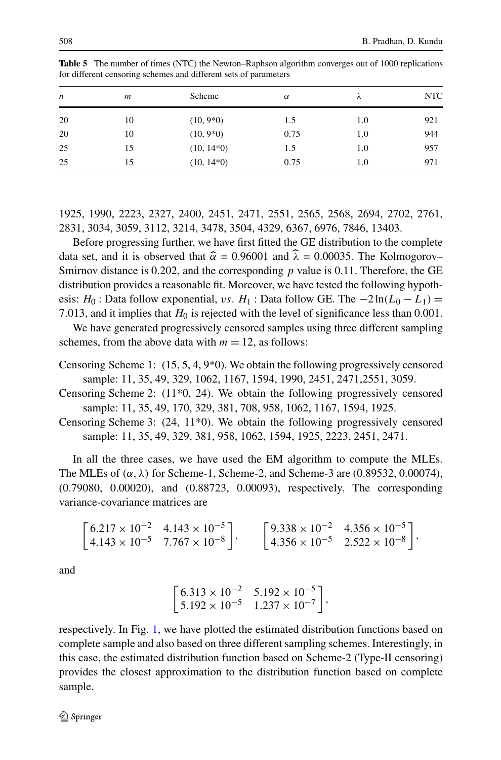| n  | m  | Scheme       | $\alpha$ | ⋏   | <b>NTC</b> |
|----|----|--------------|----------|-----|------------|
| 20 | 10 | $(10, 9*0)$  | 1.5      | 1.0 | 921        |
| 20 | 10 | $(10, 9*0)$  | 0.75     | 1.0 | 944        |
| 25 | 15 | $(10, 14*0)$ | 1.5      | 1.0 | 957        |
| 25 | 15 | $(10, 14*0)$ | 0.75     | 1.0 | 971        |

<span id="page-11-0"></span>**Table 5** The number of times (NTC) the Newton–Raphson algorithm converges out of 1000 replications for different censoring schemes and different sets of parameters

1925, 1990, 2223, 2327, 2400, 2451, 2471, 2551, 2565, 2568, 2694, 2702, 2761, 2831, 3034, 3059, 3112, 3214, 3478, 3504, 4329, 6367, 6976, 7846, 13403.

Before progressing further, we have first fitted the GE distribution to the complete data set, and it is observed that  $\hat{\alpha} = 0.96001$  and  $\hat{\lambda} = 0.00035$ . The Kolmogorov– Smirnov distance is 0.202, and the corresponding *p* value is 0.11. Therefore, the GE distribution provides a reasonable fit. Moreover, we have tested the following hypothesis: *H*<sub>0</sub> : Data follow exponential, *vs. H*<sub>1</sub> : Data follow GE. The  $-2\ln(L_0 - L_1)$  = 7.013, and it implies that  $H_0$  is rejected with the level of significance less than 0.001.

We have generated progressively censored samples using three different sampling schemes, from the above data with  $m = 12$ , as follows:

- Censoring Scheme 1:  $(15, 5, 4, 9<sup>*</sup>)$ . We obtain the following progressively censored sample: 11, 35, 49, 329, 1062, 1167, 1594, 1990, 2451, 2471,2551, 3059.
- Censoring Scheme 2: (11\*0, 24). We obtain the following progressively censored sample: 11, 35, 49, 170, 329, 381, 708, 958, 1062, 1167, 1594, 1925.

Censoring Scheme 3: (24, 11\*0). We obtain the following progressively censored sample: 11, 35, 49, 329, 381, 958, 1062, 1594, 1925, 2223, 2451, 2471.

In all the three cases, we have used the EM algorithm to compute the MLEs. The MLEs of *(α,λ)* for Scheme-1, Scheme-2, and Scheme-3 are (0.89532, 0.00074), (0.79080, 0.00020), and (0.88723, 0.00093), respectively. The corresponding variance-covariance matrices are

$$
\begin{bmatrix} 6.217 \times 10^{-2} & 4.143 \times 10^{-5} \\ 4.143 \times 10^{-5} & 7.767 \times 10^{-8} \end{bmatrix}, \qquad \begin{bmatrix} 9.338 \times 10^{-2} & 4.356 \times 10^{-5} \\ 4.356 \times 10^{-5} & 2.522 \times 10^{-8} \end{bmatrix},
$$

and

$$
\begin{bmatrix} 6.313 \times 10^{-2} & 5.192 \times 10^{-5} \\ 5.192 \times 10^{-5} & 1.237 \times 10^{-7} \end{bmatrix},
$$

respectively. In Fig. [1](#page-12-0), we have plotted the estimated distribution functions based on complete sample and also based on three different sampling schemes. Interestingly, in this case, the estimated distribution function based on Scheme-2 (Type-II censoring) provides the closest approximation to the distribution function based on complete sample.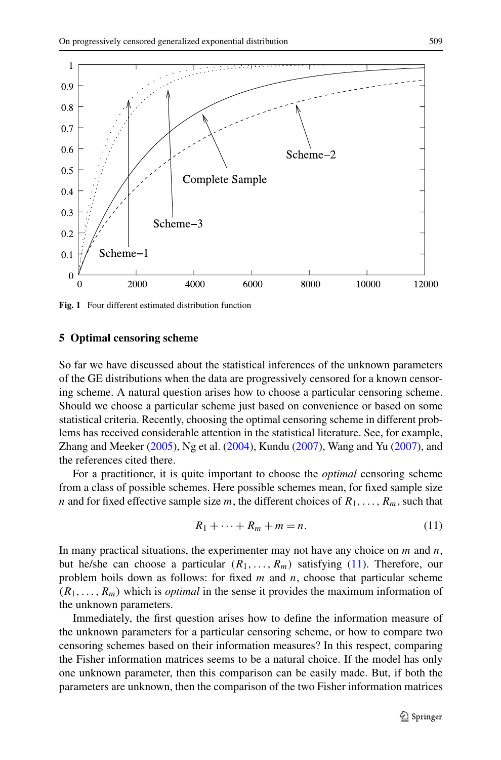<span id="page-12-0"></span>

**Fig. 1** Four different estimated distribution function

#### **5 Optimal censoring scheme**

So far we have discussed about the statistical inferences of the unknown parameters of the GE distributions when the data are progressively censored for a known censoring scheme. A natural question arises how to choose a particular censoring scheme. Should we choose a particular scheme just based on convenience or based on some statistical criteria. Recently, choosing the optimal censoring scheme in different problems has received considerable attention in the statistical literature. See, for example, Zhang and Meeker [\(2005\)](#page-18-0), Ng et al. [\(2004](#page-17-0)), Kundu ([2007\)](#page-17-0), Wang and Yu [\(2007](#page-18-0)), and the references cited there.

For a practitioner, it is quite important to choose the *optimal* censoring scheme from a class of possible schemes. Here possible schemes mean, for fixed sample size *n* and for fixed effective sample size *m*, the different choices of  $R_1, \ldots, R_m$ , such that

$$
R_1 + \dots + R_m + m = n. \tag{11}
$$

In many practical situations, the experimenter may not have any choice on *m* and *n*, but he/she can choose a particular  $(R_1, \ldots, R_m)$  satisfying (11). Therefore, our problem boils down as follows: for fixed *m* and *n*, choose that particular scheme  $(R_1, \ldots, R_m)$  which is *optimal* in the sense it provides the maximum information of the unknown parameters.

Immediately, the first question arises how to define the information measure of the unknown parameters for a particular censoring scheme, or how to compare two censoring schemes based on their information measures? In this respect, comparing the Fisher information matrices seems to be a natural choice. If the model has only one unknown parameter, then this comparison can be easily made. But, if both the parameters are unknown, then the comparison of the two Fisher information matrices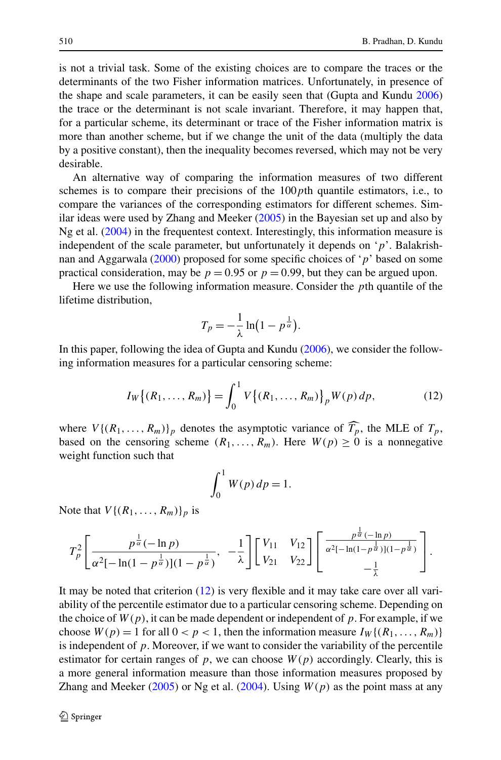<span id="page-13-0"></span>is not a trivial task. Some of the existing choices are to compare the traces or the determinants of the two Fisher information matrices. Unfortunately, in presence of the shape and scale parameters, it can be easily seen that (Gupta and Kundu [2006](#page-17-0)) the trace or the determinant is not scale invariant. Therefore, it may happen that, for a particular scheme, its determinant or trace of the Fisher information matrix is more than another scheme, but if we change the unit of the data (multiply the data by a positive constant), then the inequality becomes reversed, which may not be very desirable.

An alternative way of comparing the information measures of two different schemes is to compare their precisions of the 100*p*th quantile estimators, i.e., to compare the variances of the corresponding estimators for different schemes. Similar ideas were used by Zhang and Meeker [\(2005\)](#page-18-0) in the Bayesian set up and also by Ng et al. [\(2004](#page-17-0)) in the frequentest context. Interestingly, this information measure is independent of the scale parameter, but unfortunately it depends on '*p*'. Balakrishnan and Aggarwala [\(2000](#page-17-0)) proposed for some specific choices of '*p*' based on some practical consideration, may be  $p = 0.95$  or  $p = 0.99$ , but they can be argued upon.

Here we use the following information measure. Consider the *p*th quantile of the lifetime distribution,

$$
T_p = -\frac{1}{\lambda} \ln \left( 1 - p^{\frac{1}{\alpha}} \right).
$$

In this paper, following the idea of Gupta and Kundu ([2006\)](#page-17-0), we consider the following information measures for a particular censoring scheme:

$$
I_W\{(R_1,\ldots,R_m)\} = \int_0^1 V\{(R_1,\ldots,R_m)\}\, W(p) \, dp,\tag{12}
$$

where  $V\{(R_1, \ldots, R_m)\}\$  denotes the asymptotic variance of  $T_p$ , the MLE of  $T_p$ , has a popper in the conserving scheme  $(P_1, \ldots, P_n)$ . Here  $W(n) > 0$  is a popperative based on the censoring scheme  $(R_1, \ldots, R_m)$ . Here  $W(p) \ge 0$  is a nonnegative weight function such that

$$
\int_0^1 W(p) \, dp = 1.
$$

Note that  $V\{(R_1,\ldots,R_m)\}_p$  is

$$
T_p^2\left[\frac{p^{\frac{1}{\alpha}}(-\ln p)}{\alpha^2[-\ln(1-p^{\frac{1}{\alpha}})](1-p^{\frac{1}{\alpha}})},-\frac{1}{\lambda}\right]\left[\begin{array}{cc}V_{11} & V_{12}\\ V_{21} & V_{22}\end{array}\right]\left[\begin{array}{cc} \frac{p^{\frac{1}{\alpha}}(-\ln p)}{\alpha^2[-\ln(1-p^{\frac{1}{\alpha}})](1-p^{\frac{1}{\alpha}})}\\ -\frac{1}{\lambda}\end{array}\right].
$$

It may be noted that criterion (12) is very flexible and it may take care over all variability of the percentile estimator due to a particular censoring scheme. Depending on the choice of  $W(p)$ , it can be made dependent or independent of p. For example, if we choose  $W(p) = 1$  for all  $0 < p < 1$ , then the information measure  $I_W\{(R_1, \ldots, R_m)\}\$ is independent of  $p$ . Moreover, if we want to consider the variability of the percentile estimator for certain ranges of  $p$ , we can choose  $W(p)$  accordingly. Clearly, this is a more general information measure than those information measures proposed by Zhang and Meeker [\(2005](#page-18-0)) or Ng et al. [\(2004\)](#page-17-0). Using  $W(p)$  as the point mass at any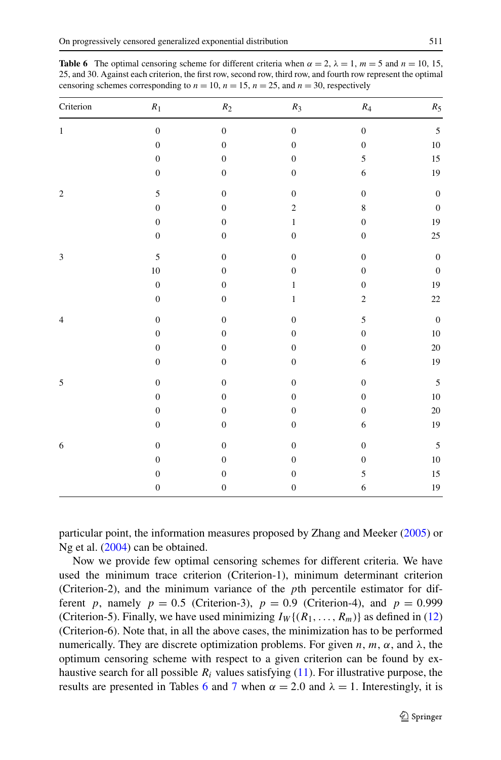| Criterion                   | $\boldsymbol{R}_1$ | $\ensuremath{\mathfrak{R}}_2$ | $\mathfrak{R}_3$ | $\mathfrak{R}_4$ | $R_5\,$          |
|-----------------------------|--------------------|-------------------------------|------------------|------------------|------------------|
| $\mathbf{1}$                | $\boldsymbol{0}$   | $\boldsymbol{0}$              | $\boldsymbol{0}$ | $\boldsymbol{0}$ | $\sqrt{5}$       |
|                             | $\boldsymbol{0}$   | $\boldsymbol{0}$              | $\boldsymbol{0}$ | $\boldsymbol{0}$ | $10\,$           |
|                             | $\boldsymbol{0}$   | $\boldsymbol{0}$              | $\boldsymbol{0}$ | 5                | $15\,$           |
|                             | $\boldsymbol{0}$   | $\boldsymbol{0}$              | $\boldsymbol{0}$ | $\sqrt{6}$       | 19               |
| $\sqrt{2}$                  | $\sqrt{5}$         | $\boldsymbol{0}$              | $\boldsymbol{0}$ | $\boldsymbol{0}$ | $\boldsymbol{0}$ |
|                             | $\boldsymbol{0}$   | $\boldsymbol{0}$              | $\overline{c}$   | $\,8\,$          | $\boldsymbol{0}$ |
|                             | $\boldsymbol{0}$   | $\boldsymbol{0}$              | $\,1$            | $\boldsymbol{0}$ | 19               |
|                             | $\boldsymbol{0}$   | $\boldsymbol{0}$              | $\boldsymbol{0}$ | $\boldsymbol{0}$ | $25\,$           |
| $\ensuremath{\mathfrak{Z}}$ | 5                  | $\boldsymbol{0}$              | $\boldsymbol{0}$ | $\boldsymbol{0}$ | $\boldsymbol{0}$ |
|                             | $10\,$             | $\boldsymbol{0}$              | $\boldsymbol{0}$ | $\boldsymbol{0}$ | $\boldsymbol{0}$ |
|                             | $\boldsymbol{0}$   | $\boldsymbol{0}$              | $\,1$            | $\boldsymbol{0}$ | $19\,$           |
|                             | $\boldsymbol{0}$   | $\boldsymbol{0}$              | $\,1$            | $\sqrt{2}$       | $22\,$           |
| $\overline{4}$              | $\boldsymbol{0}$   | $\boldsymbol{0}$              | $\boldsymbol{0}$ | 5                | $\boldsymbol{0}$ |
|                             | $\boldsymbol{0}$   | $\boldsymbol{0}$              | $\boldsymbol{0}$ | $\boldsymbol{0}$ | $10\,$           |
|                             | $\boldsymbol{0}$   | $\boldsymbol{0}$              | $\boldsymbol{0}$ | $\boldsymbol{0}$ | $20\,$           |
|                             | $\boldsymbol{0}$   | $\boldsymbol{0}$              | $\boldsymbol{0}$ | $\epsilon$       | $19\,$           |
| 5                           | $\boldsymbol{0}$   | $\boldsymbol{0}$              | $\boldsymbol{0}$ | $\boldsymbol{0}$ | $\sqrt{5}$       |
|                             | $\boldsymbol{0}$   | $\boldsymbol{0}$              | $\boldsymbol{0}$ | $\boldsymbol{0}$ | $10\,$           |
|                             | $\boldsymbol{0}$   | $\boldsymbol{0}$              | $\boldsymbol{0}$ | $\boldsymbol{0}$ | $20\,$           |
|                             | $\boldsymbol{0}$   | $\boldsymbol{0}$              | $\boldsymbol{0}$ | $\epsilon$       | 19               |
| 6                           | $\boldsymbol{0}$   | $\boldsymbol{0}$              | $\boldsymbol{0}$ | $\boldsymbol{0}$ | $\mathfrak s$    |
|                             | $\boldsymbol{0}$   | $\boldsymbol{0}$              | $\boldsymbol{0}$ | $\boldsymbol{0}$ | $10\,$           |
|                             | $\boldsymbol{0}$   | $\boldsymbol{0}$              | $\boldsymbol{0}$ | 5                | $15\,$           |
|                             | $\boldsymbol{0}$   | $\boldsymbol{0}$              | $\boldsymbol{0}$ | $\epsilon$       | $19\,$           |

**Table 6** The optimal censoring scheme for different criteria when  $\alpha = 2$ ,  $\lambda = 1$ ,  $m = 5$  and  $n = 10$ , 15, 25, and 30. Against each criterion, the first row, second row, third row, and fourth row represent the optimal censoring schemes corresponding to  $n = 10$ ,  $n = 15$ ,  $n = 25$ , and  $n = 30$ , respectively

particular point, the information measures proposed by Zhang and Meeker [\(2005](#page-18-0)) or Ng et al. ([2004\)](#page-17-0) can be obtained.

Now we provide few optimal censoring schemes for different criteria. We have used the minimum trace criterion (Criterion-1), minimum determinant criterion (Criterion-2), and the minimum variance of the *p*th percentile estimator for different *p*, namely  $p = 0.5$  (Criterion-3),  $p = 0.9$  (Criterion-4), and  $p = 0.999$ (Criterion-5). Finally, we have used minimizing  $I_W\{(R_1,\ldots,R_m)\}\)$  as defined in [\(12](#page-13-0)) (Criterion-6). Note that, in all the above cases, the minimization has to be performed numerically. They are discrete optimization problems. For given *n*, *m*, *α*, and *λ*, the optimum censoring scheme with respect to a given criterion can be found by exhaustive search for all possible  $R_i$  values satisfying  $(11)$  $(11)$ . For illustrative purpose, the results are presented in Tables 6 and [7](#page-15-0) when  $\alpha = 2.0$  and  $\lambda = 1$ . Interestingly, it is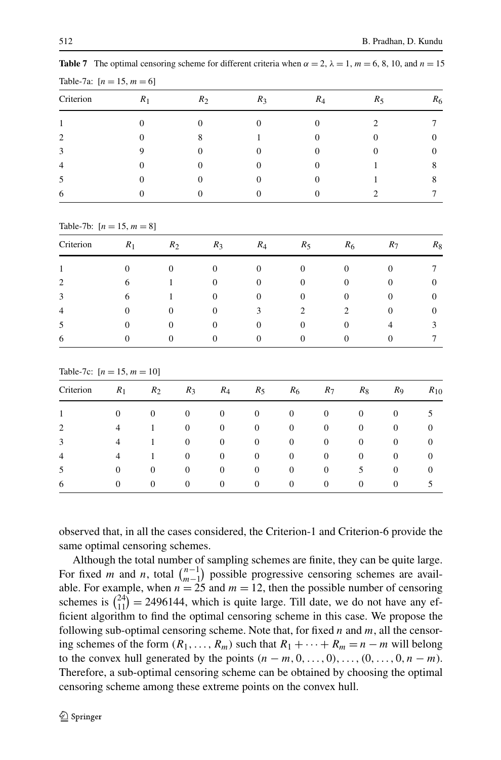| Criterion                   | $R_1$ | $R_2$ | $R_3$ | $R_4$ | $R_5$ | $R_6$ |
|-----------------------------|-------|-------|-------|-------|-------|-------|
|                             |       |       |       |       |       |       |
| $\mathcal{D}_{\mathcal{A}}$ |       |       |       |       |       |       |
| 3                           |       |       |       |       |       |       |
| 4                           |       |       |       |       |       |       |
| ͻ                           |       |       |       |       |       |       |
| 6                           |       |       |       |       |       |       |

<span id="page-15-0"></span>**Table 7** The optimal censoring scheme for different criteria when  $\alpha = 2$ ,  $\lambda = 1$ ,  $m = 6, 8, 10$ , and  $n = 15$ Table-7a:  $[n = 15, m = 6]$ 

Criterion  $R_1$   $R_2$   $R_3$   $R_4$   $R_5$   $R_6$   $R_7$   $R_8$ 1 0 0 0 0 0 0 0 0 7 2 6 1 0 0 0 0 0 0 0 3 6 1 0 0 0 0 0 0 0 4 0 0 0 0 3 2 2 0 0 5 0 0 0 0 0 0 0 4 3 6 0 0 0 0 0 0 0 0 7 Table-7c:  $[n = 15, m = 10]$ Criterion *R*1 *R*2 *R*3 *R*4 *R*5 *R*6 *R*7 *R*8 *R*9 *R*10 1 0000000005

2 4100000000 3 4100000000 4 4100000000 5 0 0 0 0 0 0 0 0 5 0 0 6 0000000005

observed that, in all the cases considered, the Criterion-1 and Criterion-6 provide the same optimal censoring schemes.

Although the total number of sampling schemes are finite, they can be quite large. For fixed *m* and *n*, total  $\binom{n-1}{m-1}$  possible progressive censoring schemes are available. For example, when  $n = 25$  and  $m = 12$ , then the possible number of censoring schemes is  $\binom{24}{11} = 2496144$ , which is quite large. Till date, we do not have any efficient algorithm to find the optimal censoring scheme in this case. We propose the following sub-optimal censoring scheme. Note that, for fixed *n* and *m*, all the censoring schemes of the form  $(R_1, \ldots, R_m)$  such that  $R_1 + \cdots + R_m = n - m$  will belong to the convex hull generated by the points  $(n - m, 0, \ldots, 0), \ldots, (0, \ldots, 0, n - m)$ . Therefore, a sub-optimal censoring scheme can be obtained by choosing the optimal censoring scheme among these extreme points on the convex hull.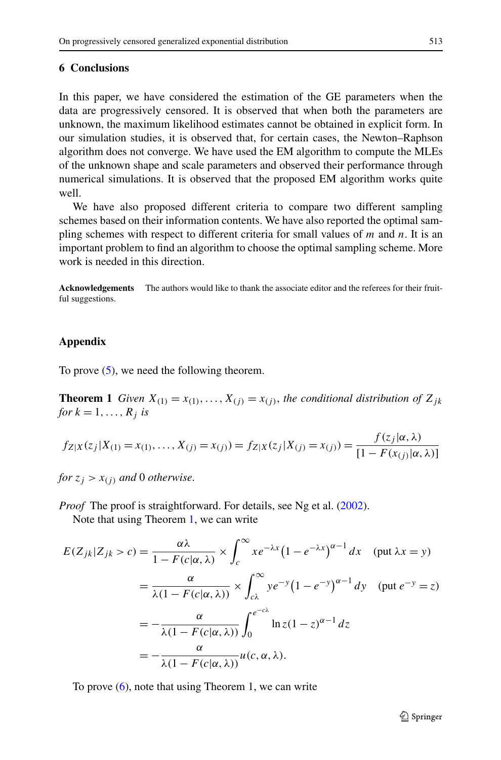### <span id="page-16-0"></span>**6 Conclusions**

In this paper, we have considered the estimation of the GE parameters when the data are progressively censored. It is observed that when both the parameters are unknown, the maximum likelihood estimates cannot be obtained in explicit form. In our simulation studies, it is observed that, for certain cases, the Newton–Raphson algorithm does not converge. We have used the EM algorithm to compute the MLEs of the unknown shape and scale parameters and observed their performance through numerical simulations. It is observed that the proposed EM algorithm works quite well.

We have also proposed different criteria to compare two different sampling schemes based on their information contents. We have also reported the optimal sampling schemes with respect to different criteria for small values of *m* and *n*. It is an important problem to find an algorithm to choose the optimal sampling scheme. More work is needed in this direction.

**Acknowledgements** The authors would like to thank the associate editor and the referees for their fruitful suggestions.

# **Appendix**

To prove ([5\)](#page-3-0), we need the following theorem.

**Theorem 1** *Given*  $X_{(1)} = x_{(1)}, \ldots, X_{(j)} = x_{(j)}$ , *the conditional distribution of*  $Z_{jk}$ *for*  $k = 1, \ldots, R_j$  *is* 

$$
f_{Z|X}(z_j|X_{(1)} = x_{(1)},...,X_{(j)} = x_{(j)}) = f_{Z|X}(z_j|X_{(j)} = x_{(j)}) = \frac{f(z_j|\alpha,\lambda)}{[1 - F(x_{(j)}|\alpha,\lambda)]}
$$

*for*  $z_i > x_{(i)}$  *and* 0 *otherwise.* 

*Proof* The proof is straightforward. For details, see Ng et al. ([2002\)](#page-17-0).

Note that using Theorem 1, we can write

$$
E(Z_{jk}|Z_{jk} > c) = \frac{\alpha \lambda}{1 - F(c|\alpha, \lambda)} \times \int_{c}^{\infty} x e^{-\lambda x} (1 - e^{-\lambda x})^{\alpha - 1} dx \quad (\text{put } \lambda x = y)
$$
  
= 
$$
\frac{\alpha}{\lambda (1 - F(c|\alpha, \lambda))} \times \int_{c\lambda}^{\infty} y e^{-y} (1 - e^{-y})^{\alpha - 1} dy \quad (\text{put } e^{-y} = z)
$$
  
= 
$$
-\frac{\alpha}{\lambda (1 - F(c|\alpha, \lambda))} \int_{0}^{e^{-c\lambda}} \ln z (1 - z)^{\alpha - 1} dz
$$
  
= 
$$
-\frac{\alpha}{\lambda (1 - F(c|\alpha, \lambda))} u(c, \alpha, \lambda).
$$

To prove ([6\)](#page-3-0), note that using Theorem 1, we can write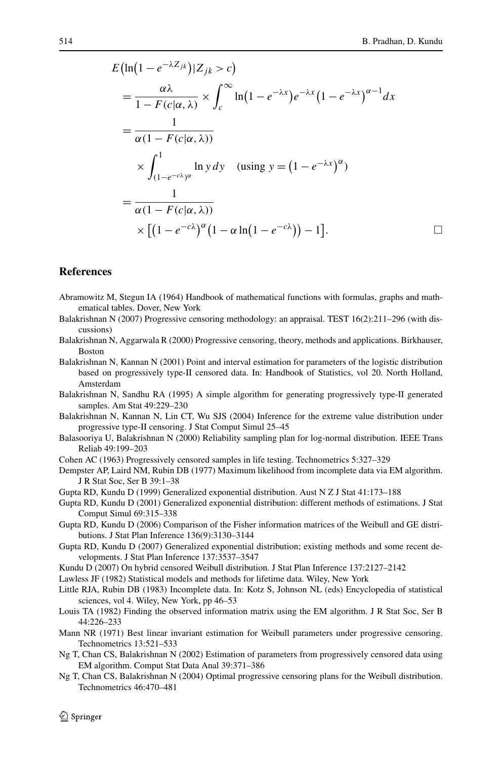<span id="page-17-0"></span>
$$
E\left(\ln\left(1-e^{-\lambda Z_{jk}}\right)|Z_{jk}>c\right)
$$
\n
$$
=\frac{\alpha\lambda}{1-F(c|\alpha,\lambda)}\times\int_{c}^{\infty}\ln\left(1-e^{-\lambda x}\right)e^{-\lambda x}\left(1-e^{-\lambda x}\right)^{\alpha-1}dx
$$
\n
$$
=\frac{1}{\alpha(1-F(c|\alpha,\lambda))}
$$
\n
$$
\times\int_{(1-e^{-c\lambda})^{\alpha}}^{1}\ln y\,dy \quad \text{(using } y=(1-e^{-\lambda x})^{\alpha})
$$
\n
$$
=\frac{1}{\alpha(1-F(c|\alpha,\lambda))}
$$
\n
$$
\times\left[\left(1-e^{-c\lambda}\right)^{\alpha}\left(1-\alpha\ln(1-e^{-c\lambda})\right)-1\right].
$$

### **References**

- Abramowitz M, Stegun IA (1964) Handbook of mathematical functions with formulas, graphs and mathematical tables. Dover, New York
- Balakrishnan N (2007) Progressive censoring methodology: an appraisal. TEST 16(2):211–296 (with discussions)
- Balakrishnan N, Aggarwala R (2000) Progressive censoring, theory, methods and applications. Birkhauser, Boston
- Balakrishnan N, Kannan N (2001) Point and interval estimation for parameters of the logistic distribution based on progressively type-II censored data. In: Handbook of Statistics, vol 20. North Holland, Amsterdam
- Balakrishnan N, Sandhu RA (1995) A simple algorithm for generating progressively type-II generated samples. Am Stat 49:229–230
- Balakrishnan N, Kannan N, Lin CT, Wu SJS (2004) Inference for the extreme value distribution under progressive type-II censoring. J Stat Comput Simul 25–45
- Balasooriya U, Balakrishnan N (2000) Reliability sampling plan for log-normal distribution. IEEE Trans Reliab 49:199–203
- Cohen AC (1963) Progressively censored samples in life testing. Technometrics 5:327–329
- Dempster AP, Laird NM, Rubin DB (1977) Maximum likelihood from incomplete data via EM algorithm. J R Stat Soc, Ser B 39:1–38
- Gupta RD, Kundu D (1999) Generalized exponential distribution. Aust N Z J Stat 41:173–188
- Gupta RD, Kundu D (2001) Generalized exponential distribution: different methods of estimations. J Stat Comput Simul 69:315–338
- Gupta RD, Kundu D (2006) Comparison of the Fisher information matrices of the Weibull and GE distributions. J Stat Plan Inference 136(9):3130–3144
- Gupta RD, Kundu D (2007) Generalized exponential distribution; existing methods and some recent developments. J Stat Plan Inference 137:3537–3547
- Kundu D (2007) On hybrid censored Weibull distribution. J Stat Plan Inference 137:2127–2142
- Lawless JF (1982) Statistical models and methods for lifetime data. Wiley, New York
- Little RJA, Rubin DB (1983) Incomplete data. In: Kotz S, Johnson NL (eds) Encyclopedia of statistical sciences, vol 4. Wiley, New York, pp 46–53
- Louis TA (1982) Finding the observed information matrix using the EM algorithm. J R Stat Soc, Ser B 44:226–233
- Mann NR (1971) Best linear invariant estimation for Weibull parameters under progressive censoring. Technometrics 13:521–533
- Ng T, Chan CS, Balakrishnan N (2002) Estimation of parameters from progressively censored data using EM algorithm. Comput Stat Data Anal 39:371–386
- Ng T, Chan CS, Balakrishnan N (2004) Optimal progressive censoring plans for the Weibull distribution. Technometrics 46:470–481